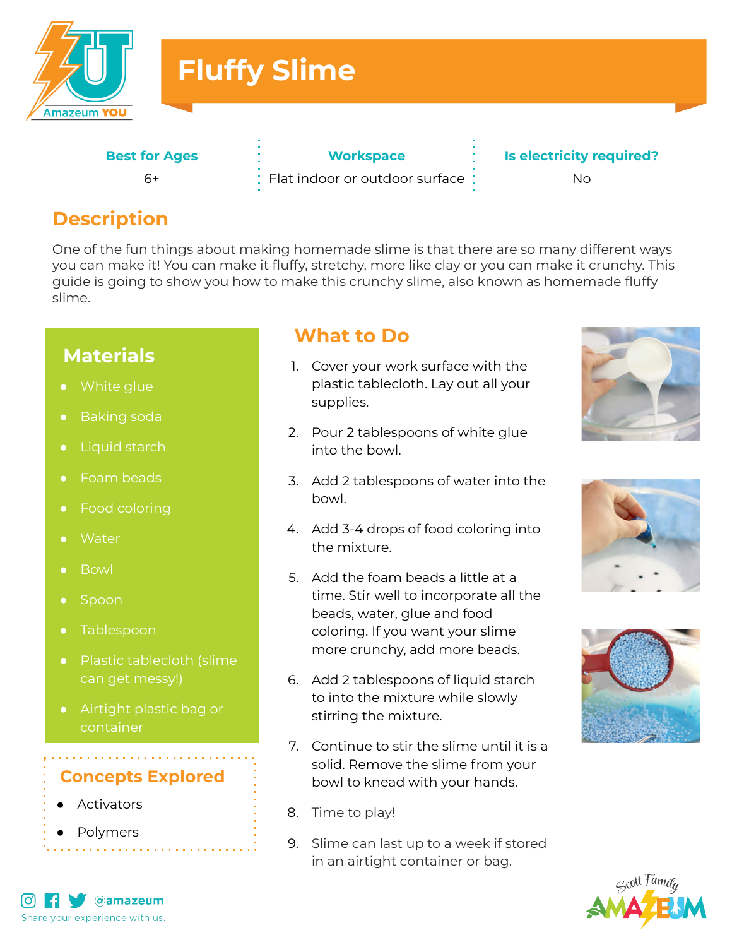

# **Fluffy Slime**

**Best for Ages**  $6+$ 

**Workspace**

Flat indoor or outdoor surface

**Is electricity required?** No

**Description**

One of the fun things about making homemade slime is that there are so many different ways you can make it! You can make it fluffy, stretchy, more like clay or you can make it crunchy. This guide is going to show you how to make this crunchy slime, also known as homemade fluffy slime.

## **Materials**

- 
- Baking soda
- Liquid starch
- Foam beads
- Food coloring
- **Water**
- Bowl
- Spoon
- Tablespoon
- Plastic tablecloth (slime can get messy!)
- Airtight plastic bag or container

#### **Concepts Explored**

- Activators
- Polymers

#### **What to Do**

- 1. Cover your work surface with the plastic tablecloth. Lay out all your supplies.
- 2. Pour 2 tablespoons of white glue into the bowl.
- 3. Add 2 tablespoons of water into the bowl.
- 4. Add 3-4 drops of food coloring into the mixture.
- 5. Add the foam beads a little at a time. Stir well to incorporate all the beads, water, glue and food coloring. If you want your slime more crunchy, add more beads.
- 6. Add 2 tablespoons of liquid starch to into the mixture while slowly stirring the mixture.
- 7. Continue to stir the slime until it is a solid. Remove the slime from your bowl to knead with your hands.
- 8. Time to play!
- 9. Slime can last up to a week if stored in an airtight container or bag.